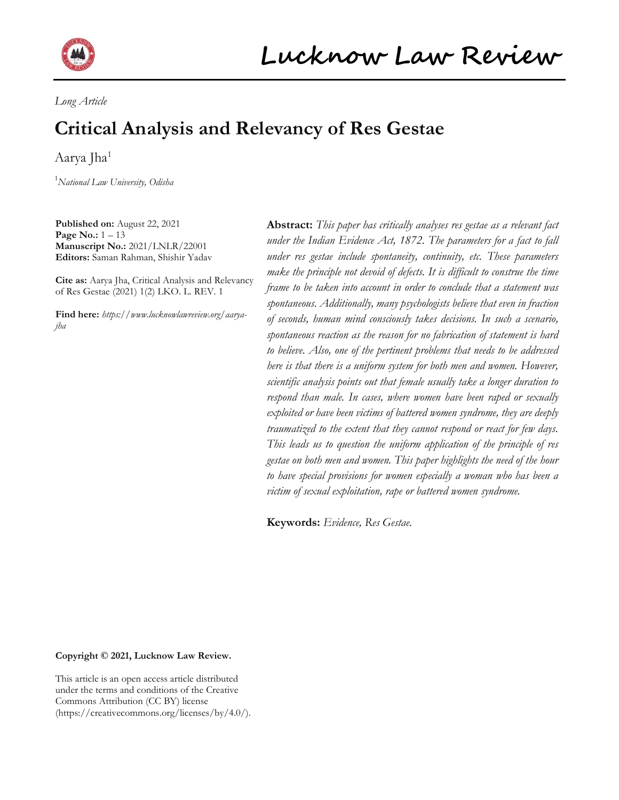

Long Article

# Critical Analysis and Relevancy of Res Gestae

Aarya Jha<sup>1</sup>

<sup>1</sup>National Law University, Odisha

Published on: August 22, 2021 **Page No.:**  $1 - 13$ Manuscript No.: 2021/LNLR/22001 Editors: Saman Rahman, Shishir Yadav

Cite as: Aarya Jha, Critical Analysis and Relevancy of Res Gestae (2021) 1(2) LKO. L. REV. 1

Find here: https://www.lucknowlawreview.org/aaryajha

Abstract: This paper has critically analyses res gestae as a relevant fact under the Indian Evidence Act, 1872. The parameters for a fact to fall under res gestae include spontaneity, continuity, etc. These parameters make the principle not devoid of defects. It is difficult to construe the time frame to be taken into account in order to conclude that a statement was spontaneous. Additionally, many psychologists believe that even in fraction of seconds, human mind consciously takes decisions. In such a scenario, spontaneous reaction as the reason for no fabrication of statement is hard to believe. Also, one of the pertinent problems that needs to be addressed here is that there is a uniform system for both men and women. However, scientific analysis points out that female usually take a longer duration to respond than male. In cases, where women have been raped or sexually exploited or have been victims of battered women syndrome, they are deeply traumatized to the extent that they cannot respond or react for few days. This leads us to question the uniform application of the principle of res gestae on both men and women. This paper highlights the need of the hour to have special provisions for women especially a woman who has been a victim of sexual exploitation, rape or battered women syndrome.

Keywords: Evidence, Res Gestae.

Copyright © 2021, Lucknow Law Review.

This article is an open access article distributed under the terms and conditions of the Creative Commons Attribution (CC BY) license (https://creativecommons.org/licenses/by/4.0/).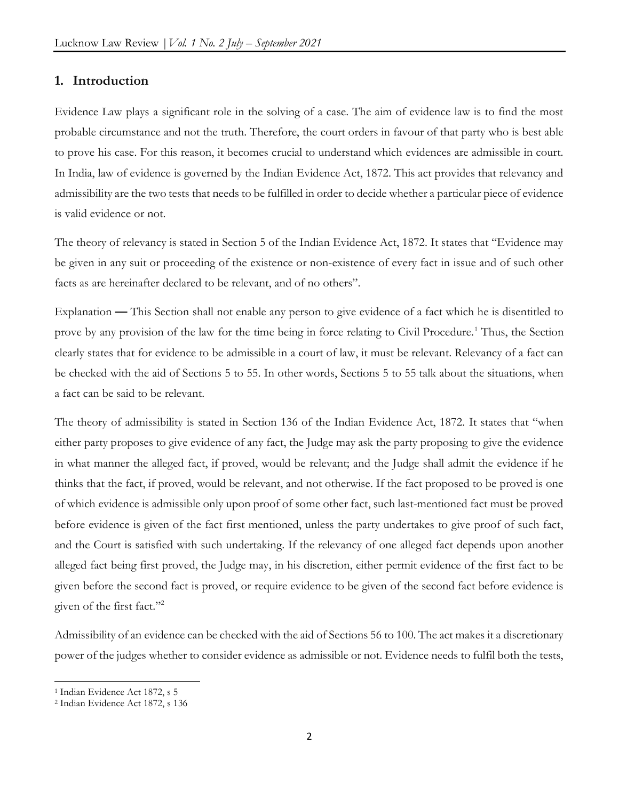## 1. Introduction

Evidence Law plays a significant role in the solving of a case. The aim of evidence law is to find the most probable circumstance and not the truth. Therefore, the court orders in favour of that party who is best able to prove his case. For this reason, it becomes crucial to understand which evidences are admissible in court. In India, law of evidence is governed by the Indian Evidence Act, 1872. This act provides that relevancy and admissibility are the two tests that needs to be fulfilled in order to decide whether a particular piece of evidence is valid evidence or not.

The theory of relevancy is stated in Section 5 of the Indian Evidence Act, 1872. It states that "Evidence may be given in any suit or proceeding of the existence or non-existence of every fact in issue and of such other facts as are hereinafter declared to be relevant, and of no others".

Explanation — This Section shall not enable any person to give evidence of a fact which he is disentitled to prove by any provision of the law for the time being in force relating to Civil Procedure.<sup>1</sup> Thus, the Section clearly states that for evidence to be admissible in a court of law, it must be relevant. Relevancy of a fact can be checked with the aid of Sections 5 to 55. In other words, Sections 5 to 55 talk about the situations, when a fact can be said to be relevant.

The theory of admissibility is stated in Section 136 of the Indian Evidence Act, 1872. It states that "when either party proposes to give evidence of any fact, the Judge may ask the party proposing to give the evidence in what manner the alleged fact, if proved, would be relevant; and the Judge shall admit the evidence if he thinks that the fact, if proved, would be relevant, and not otherwise. If the fact proposed to be proved is one of which evidence is admissible only upon proof of some other fact, such last-mentioned fact must be proved before evidence is given of the fact first mentioned, unless the party undertakes to give proof of such fact, and the Court is satisfied with such undertaking. If the relevancy of one alleged fact depends upon another alleged fact being first proved, the Judge may, in his discretion, either permit evidence of the first fact to be given before the second fact is proved, or require evidence to be given of the second fact before evidence is given of the first fact."<sup>2</sup>

Admissibility of an evidence can be checked with the aid of Sections 56 to 100. The act makes it a discretionary power of the judges whether to consider evidence as admissible or not. Evidence needs to fulfil both the tests,

<sup>&</sup>lt;sup>1</sup> Indian Evidence Act 1872, s 5

<sup>2</sup> Indian Evidence Act 1872, s 136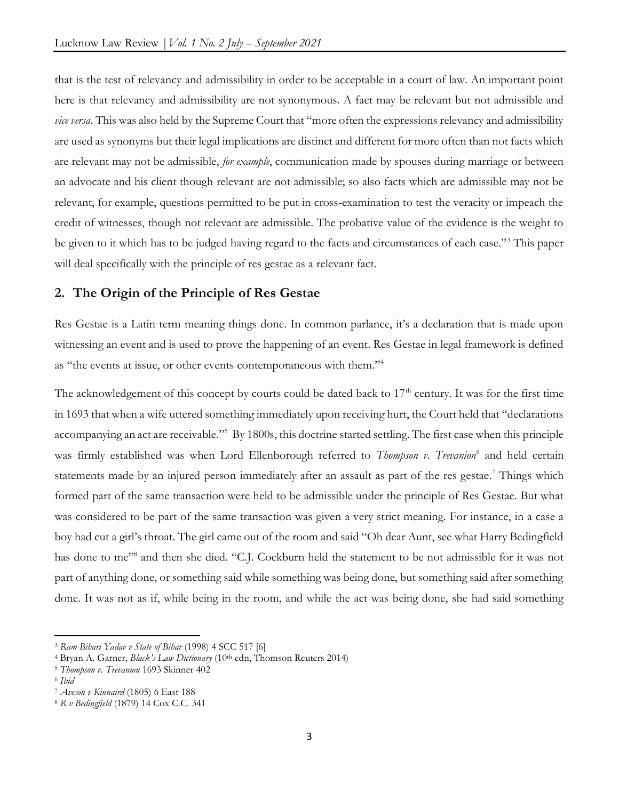that is the test of relevancy and admissibility in order to be acceptable in a court of law. An important point here is that relevancy and admissibility are not synonymous. A fact may be relevant but not admissible and *vice versa*. This was also held by the Supreme Court that "more often the expressions relevancy and admissibility are used as synonyms but their legal implications are distinct and different for more often than not facts which are relevant may not be admissible, *for example*, communication made by spouses during marriage or between an advocate and his client though relevant are not admissible; so also facts which are admissible may not be relevant, for example, questions permitted to be put in cross-examination to test the veracity or impeach the credit of witnesses, though not relevant are admissible. The probative value of the evidence is the weight to be given to it which has to be judged having regard to the facts and circumstances of each case."<sup>3</sup> This paper will deal specifically with the principle of res gestae as a relevant fact.

# 2. The Origin of the Principle of Res Gestae

Res Gestae is a Latin term meaning things done. In common parlance, it's a declaration that is made upon witnessing an event and is used to prove the happening of an event. Res Gestae in legal framework is defined as "the events at issue, or other events contemporaneous with them."<sup>4</sup>

The acknowledgement of this concept by courts could be dated back to  $17<sup>th</sup>$  century. It was for the first time in 1693 that when a wife uttered something immediately upon receiving hurt, the Court held that "declarations accompanying an act are receivable."<sup>5</sup> By 1800s, this doctrine started settling. The first case when this principle was firmly established was when Lord Ellenborough referred to Thompson v. Trevanion<sup>6</sup> and held certain statements made by an injured person immediately after an assault as part of the res gestae.<sup>7</sup> Things which formed part of the same transaction were held to be admissible under the principle of Res Gestae. But what was considered to be part of the same transaction was given a very strict meaning. For instance, in a case a boy had cut a girl's throat. The girl came out of the room and said "Oh dear Aunt, see what Harry Bedingfield has done to me"<sup>8</sup> and then she died. "C.J. Cockburn held the statement to be not admissible for it was not part of anything done, or something said while something was being done, but something said after something done. It was not as if, while being in the room, and while the act was being done, she had said something

<sup>3</sup> Ram Bihari Yadav v State of Bihar (1998) 4 SCC 517 [6]

<sup>&</sup>lt;sup>4</sup> Bryan A. Garner, *Black's Law Dictionary* (10<sup>th</sup> edn, Thomson Reuters 2014)

<sup>5</sup> Thompson v. Trevanion 1693 Skinner 402

<sup>6</sup> Ibid

<sup>7</sup> Aveson v Kinnaird (1805) 6 East 188

<sup>8</sup> R v Bedingfield (1879) 14 Cox C.C. 341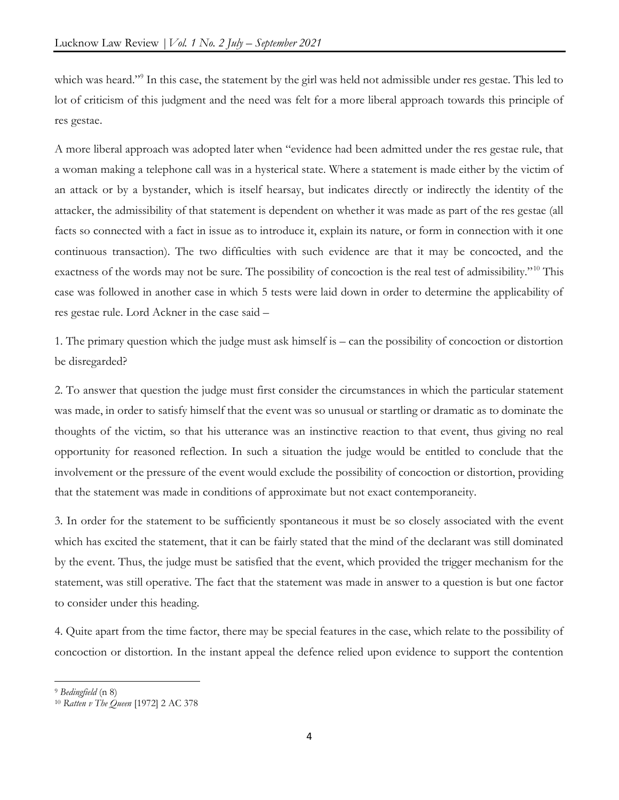which was heard."<sup>9</sup> In this case, the statement by the girl was held not admissible under res gestae. This led to lot of criticism of this judgment and the need was felt for a more liberal approach towards this principle of res gestae.

A more liberal approach was adopted later when "evidence had been admitted under the res gestae rule, that a woman making a telephone call was in a hysterical state. Where a statement is made either by the victim of an attack or by a bystander, which is itself hearsay, but indicates directly or indirectly the identity of the attacker, the admissibility of that statement is dependent on whether it was made as part of the res gestae (all facts so connected with a fact in issue as to introduce it, explain its nature, or form in connection with it one continuous transaction). The two difficulties with such evidence are that it may be concocted, and the exactness of the words may not be sure. The possibility of concoction is the real test of admissibility."<sup>10</sup> This case was followed in another case in which 5 tests were laid down in order to determine the applicability of res gestae rule. Lord Ackner in the case said –

1. The primary question which the judge must ask himself is – can the possibility of concoction or distortion be disregarded?

2. To answer that question the judge must first consider the circumstances in which the particular statement was made, in order to satisfy himself that the event was so unusual or startling or dramatic as to dominate the thoughts of the victim, so that his utterance was an instinctive reaction to that event, thus giving no real opportunity for reasoned reflection. In such a situation the judge would be entitled to conclude that the involvement or the pressure of the event would exclude the possibility of concoction or distortion, providing that the statement was made in conditions of approximate but not exact contemporaneity.

3. In order for the statement to be sufficiently spontaneous it must be so closely associated with the event which has excited the statement, that it can be fairly stated that the mind of the declarant was still dominated by the event. Thus, the judge must be satisfied that the event, which provided the trigger mechanism for the statement, was still operative. The fact that the statement was made in answer to a question is but one factor to consider under this heading.

4. Quite apart from the time factor, there may be special features in the case, which relate to the possibility of concoction or distortion. In the instant appeal the defence relied upon evidence to support the contention

<sup>9</sup> Bedingfield (n 8)

<sup>10</sup> Ratten v The Queen [1972] 2 AC 378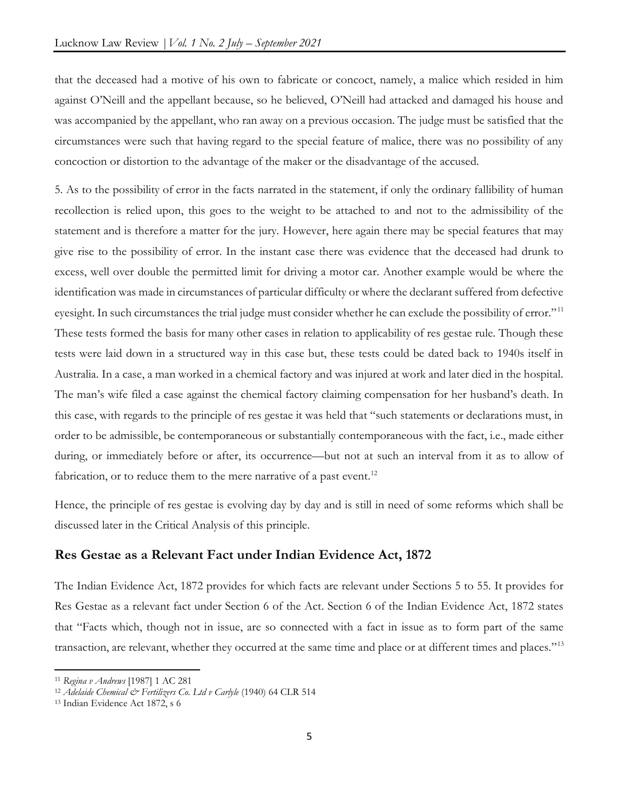that the deceased had a motive of his own to fabricate or concoct, namely, a malice which resided in him against O'Neill and the appellant because, so he believed, O'Neill had attacked and damaged his house and was accompanied by the appellant, who ran away on a previous occasion. The judge must be satisfied that the circumstances were such that having regard to the special feature of malice, there was no possibility of any concoction or distortion to the advantage of the maker or the disadvantage of the accused.

5. As to the possibility of error in the facts narrated in the statement, if only the ordinary fallibility of human recollection is relied upon, this goes to the weight to be attached to and not to the admissibility of the statement and is therefore a matter for the jury. However, here again there may be special features that may give rise to the possibility of error. In the instant case there was evidence that the deceased had drunk to excess, well over double the permitted limit for driving a motor car. Another example would be where the identification was made in circumstances of particular difficulty or where the declarant suffered from defective eyesight. In such circumstances the trial judge must consider whether he can exclude the possibility of error."<sup>11</sup> These tests formed the basis for many other cases in relation to applicability of res gestae rule. Though these tests were laid down in a structured way in this case but, these tests could be dated back to 1940s itself in Australia. In a case, a man worked in a chemical factory and was injured at work and later died in the hospital. The man's wife filed a case against the chemical factory claiming compensation for her husband's death. In this case, with regards to the principle of res gestae it was held that "such statements or declarations must, in order to be admissible, be contemporaneous or substantially contemporaneous with the fact, i.e., made either during, or immediately before or after, its occurrence—but not at such an interval from it as to allow of fabrication, or to reduce them to the mere narrative of a past event.<sup>12</sup>

Hence, the principle of res gestae is evolving day by day and is still in need of some reforms which shall be discussed later in the Critical Analysis of this principle.

# Res Gestae as a Relevant Fact under Indian Evidence Act, 1872

The Indian Evidence Act, 1872 provides for which facts are relevant under Sections 5 to 55. It provides for Res Gestae as a relevant fact under Section 6 of the Act. Section 6 of the Indian Evidence Act, 1872 states that "Facts which, though not in issue, are so connected with a fact in issue as to form part of the same transaction, are relevant, whether they occurred at the same time and place or at different times and places."<sup>13</sup>

<sup>11</sup> Regina v Andrews [1987] 1 AC 281

<sup>&</sup>lt;sup>12</sup> Adelaide Chemical & Fertilizers Co. Ltd v Carlyle (1940) 64 CLR 514

<sup>13</sup> Indian Evidence Act 1872, s 6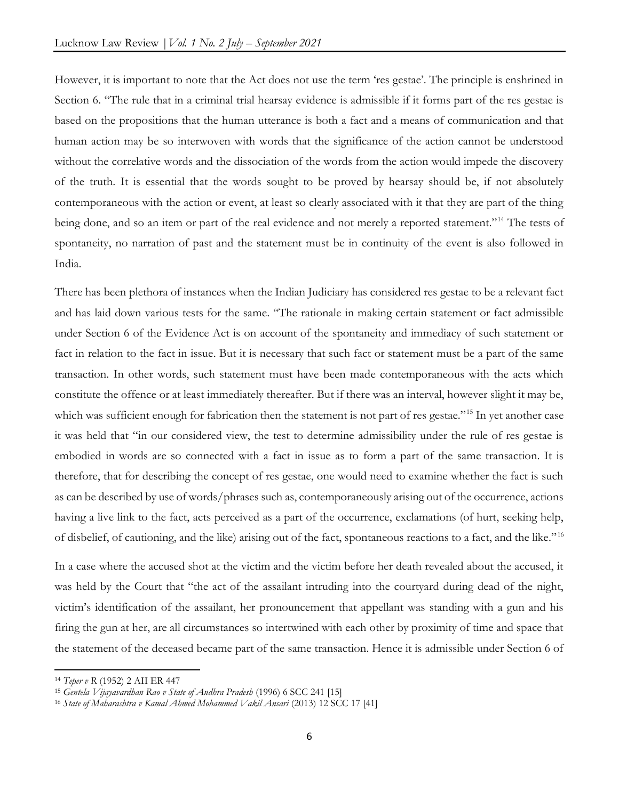However, it is important to note that the Act does not use the term 'res gestae'. The principle is enshrined in Section 6. "The rule that in a criminal trial hearsay evidence is admissible if it forms part of the res gestae is based on the propositions that the human utterance is both a fact and a means of communication and that human action may be so interwoven with words that the significance of the action cannot be understood without the correlative words and the dissociation of the words from the action would impede the discovery of the truth. It is essential that the words sought to be proved by hearsay should be, if not absolutely contemporaneous with the action or event, at least so clearly associated with it that they are part of the thing being done, and so an item or part of the real evidence and not merely a reported statement."<sup>14</sup> The tests of spontaneity, no narration of past and the statement must be in continuity of the event is also followed in India.

There has been plethora of instances when the Indian Judiciary has considered res gestae to be a relevant fact and has laid down various tests for the same. "The rationale in making certain statement or fact admissible under Section 6 of the Evidence Act is on account of the spontaneity and immediacy of such statement or fact in relation to the fact in issue. But it is necessary that such fact or statement must be a part of the same transaction. In other words, such statement must have been made contemporaneous with the acts which constitute the offence or at least immediately thereafter. But if there was an interval, however slight it may be, which was sufficient enough for fabrication then the statement is not part of res gestae."<sup>15</sup> In yet another case it was held that "in our considered view, the test to determine admissibility under the rule of res gestae is embodied in words are so connected with a fact in issue as to form a part of the same transaction. It is therefore, that for describing the concept of res gestae, one would need to examine whether the fact is such as can be described by use of words/phrases such as, contemporaneously arising out of the occurrence, actions having a live link to the fact, acts perceived as a part of the occurrence, exclamations (of hurt, seeking help, of disbelief, of cautioning, and the like) arising out of the fact, spontaneous reactions to a fact, and the like."<sup>16</sup>

In a case where the accused shot at the victim and the victim before her death revealed about the accused, it was held by the Court that "the act of the assailant intruding into the courtyard during dead of the night, victim's identification of the assailant, her pronouncement that appellant was standing with a gun and his firing the gun at her, are all circumstances so intertwined with each other by proximity of time and space that the statement of the deceased became part of the same transaction. Hence it is admissible under Section 6 of

<sup>14</sup> Teper v R (1952) 2 AII ER 447

<sup>&</sup>lt;sup>15</sup> Gentela Vijayavardhan Rao v State of Andhra Pradesh (1996) 6 SCC 241 [15]

<sup>&</sup>lt;sup>16</sup> State of Maharashtra v Kamal Ahmed Mohammed Vakil Ansari (2013) 12 SCC 17 [41]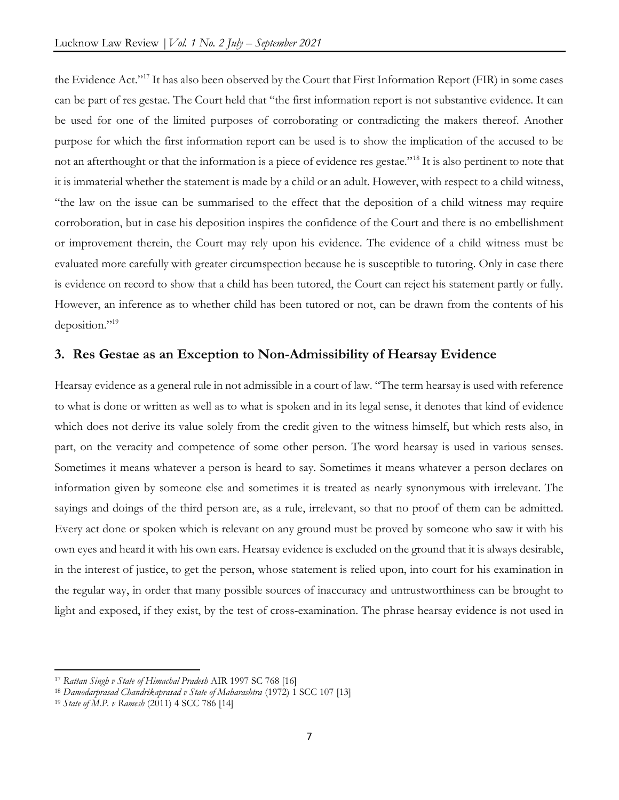the Evidence Act."<sup>17</sup> It has also been observed by the Court that First Information Report (FIR) in some cases can be part of res gestae. The Court held that "the first information report is not substantive evidence. It can be used for one of the limited purposes of corroborating or contradicting the makers thereof. Another purpose for which the first information report can be used is to show the implication of the accused to be not an afterthought or that the information is a piece of evidence res gestae."<sup>18</sup> It is also pertinent to note that it is immaterial whether the statement is made by a child or an adult. However, with respect to a child witness, "the law on the issue can be summarised to the effect that the deposition of a child witness may require corroboration, but in case his deposition inspires the confidence of the Court and there is no embellishment or improvement therein, the Court may rely upon his evidence. The evidence of a child witness must be evaluated more carefully with greater circumspection because he is susceptible to tutoring. Only in case there is evidence on record to show that a child has been tutored, the Court can reject his statement partly or fully. However, an inference as to whether child has been tutored or not, can be drawn from the contents of his deposition."<sup>19</sup>

# 3. Res Gestae as an Exception to Non-Admissibility of Hearsay Evidence

Hearsay evidence as a general rule in not admissible in a court of law. "The term hearsay is used with reference to what is done or written as well as to what is spoken and in its legal sense, it denotes that kind of evidence which does not derive its value solely from the credit given to the witness himself, but which rests also, in part, on the veracity and competence of some other person. The word hearsay is used in various senses. Sometimes it means whatever a person is heard to say. Sometimes it means whatever a person declares on information given by someone else and sometimes it is treated as nearly synonymous with irrelevant. The sayings and doings of the third person are, as a rule, irrelevant, so that no proof of them can be admitted. Every act done or spoken which is relevant on any ground must be proved by someone who saw it with his own eyes and heard it with his own ears. Hearsay evidence is excluded on the ground that it is always desirable, in the interest of justice, to get the person, whose statement is relied upon, into court for his examination in the regular way, in order that many possible sources of inaccuracy and untrustworthiness can be brought to light and exposed, if they exist, by the test of cross-examination. The phrase hearsay evidence is not used in

<sup>&</sup>lt;sup>17</sup> Rattan Singh v State of Himachal Pradesh AIR 1997 SC 768 [16]

<sup>&</sup>lt;sup>18</sup> Damodarprasad Chandrikaprasad v State of Maharashtra (1972) 1 SCC 107 [13]

<sup>19</sup> State of M.P. v Ramesh (2011) 4 SCC 786 [14]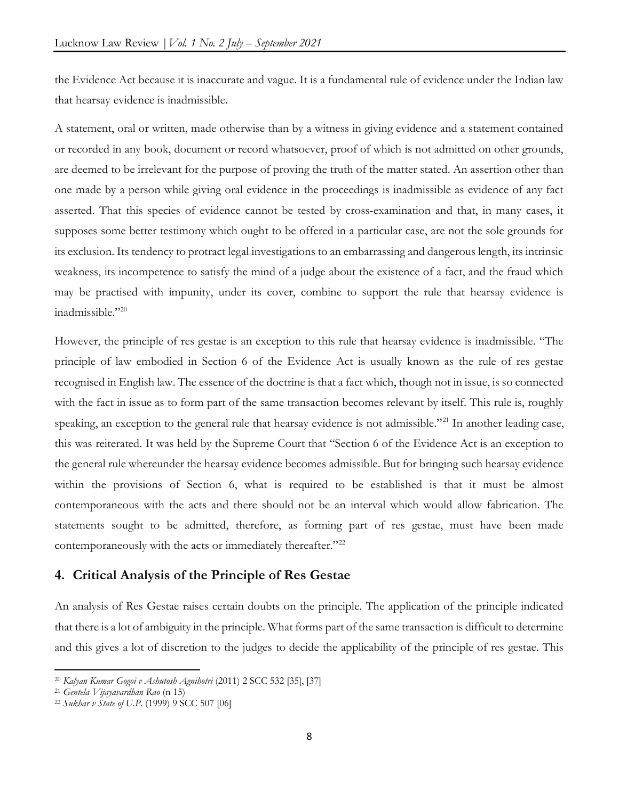the Evidence Act because it is inaccurate and vague. It is a fundamental rule of evidence under the Indian law that hearsay evidence is inadmissible.

A statement, oral or written, made otherwise than by a witness in giving evidence and a statement contained or recorded in any book, document or record whatsoever, proof of which is not admitted on other grounds, are deemed to be irrelevant for the purpose of proving the truth of the matter stated. An assertion other than one made by a person while giving oral evidence in the proceedings is inadmissible as evidence of any fact asserted. That this species of evidence cannot be tested by cross-examination and that, in many cases, it supposes some better testimony which ought to be offered in a particular case, are not the sole grounds for its exclusion. Its tendency to protract legal investigations to an embarrassing and dangerous length, its intrinsic weakness, its incompetence to satisfy the mind of a judge about the existence of a fact, and the fraud which may be practised with impunity, under its cover, combine to support the rule that hearsay evidence is inadmissible."<sup>20</sup>

However, the principle of res gestae is an exception to this rule that hearsay evidence is inadmissible. "The principle of law embodied in Section 6 of the Evidence Act is usually known as the rule of res gestae recognised in English law. The essence of the doctrine is that a fact which, though not in issue, is so connected with the fact in issue as to form part of the same transaction becomes relevant by itself. This rule is, roughly speaking, an exception to the general rule that hearsay evidence is not admissible."<sup>21</sup> In another leading case, this was reiterated. It was held by the Supreme Court that "Section 6 of the Evidence Act is an exception to the general rule whereunder the hearsay evidence becomes admissible. But for bringing such hearsay evidence within the provisions of Section 6, what is required to be established is that it must be almost contemporaneous with the acts and there should not be an interval which would allow fabrication. The statements sought to be admitted, therefore, as forming part of res gestae, must have been made contemporaneously with the acts or immediately thereafter."<sup>22</sup>

# 4. Critical Analysis of the Principle of Res Gestae

An analysis of Res Gestae raises certain doubts on the principle. The application of the principle indicated that there is a lot of ambiguity in the principle. What forms part of the same transaction is difficult to determine and this gives a lot of discretion to the judges to decide the applicability of the principle of res gestae. This

<sup>20</sup> Kalyan Kumar Gogoi v Ashutosh Agnihotri (2011) 2 SCC 532 [35], [37]

 $21$  Gentela Vijayavardhan Rao (n 15)

<sup>22</sup> Sukhar v State of U.P. (1999) 9 SCC 507 [06]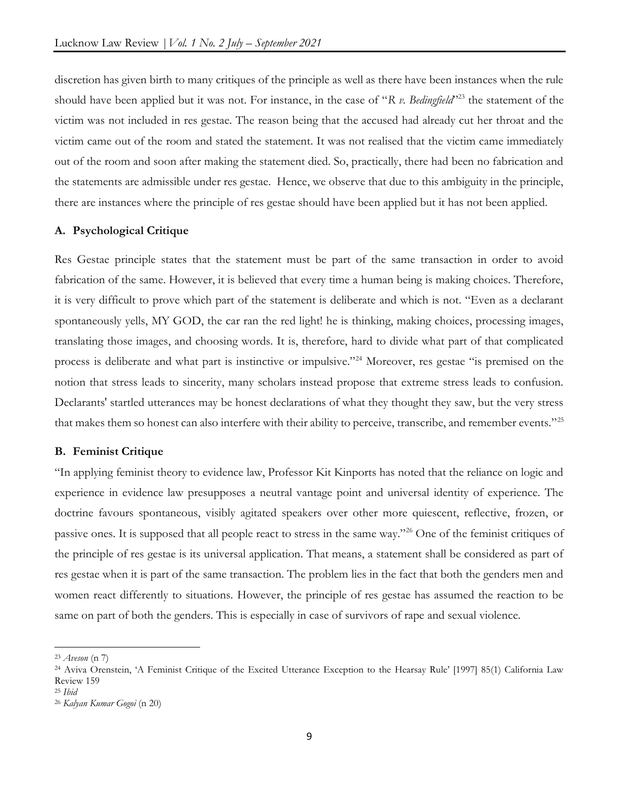discretion has given birth to many critiques of the principle as well as there have been instances when the rule should have been applied but it was not. For instance, in the case of "R v. Bedingfield"<sup>223</sup> the statement of the victim was not included in res gestae. The reason being that the accused had already cut her throat and the victim came out of the room and stated the statement. It was not realised that the victim came immediately out of the room and soon after making the statement died. So, practically, there had been no fabrication and the statements are admissible under res gestae. Hence, we observe that due to this ambiguity in the principle, there are instances where the principle of res gestae should have been applied but it has not been applied.

#### A. Psychological Critique

Res Gestae principle states that the statement must be part of the same transaction in order to avoid fabrication of the same. However, it is believed that every time a human being is making choices. Therefore, it is very difficult to prove which part of the statement is deliberate and which is not. "Even as a declarant spontaneously yells, MY GOD, the car ran the red light! he is thinking, making choices, processing images, translating those images, and choosing words. It is, therefore, hard to divide what part of that complicated process is deliberate and what part is instinctive or impulsive."<sup>24</sup> Moreover, res gestae "is premised on the notion that stress leads to sincerity, many scholars instead propose that extreme stress leads to confusion. Declarants' startled utterances may be honest declarations of what they thought they saw, but the very stress that makes them so honest can also interfere with their ability to perceive, transcribe, and remember events."<sup>25</sup>

#### B. Feminist Critique

"In applying feminist theory to evidence law, Professor Kit Kinports has noted that the reliance on logic and experience in evidence law presupposes a neutral vantage point and universal identity of experience. The doctrine favours spontaneous, visibly agitated speakers over other more quiescent, reflective, frozen, or passive ones. It is supposed that all people react to stress in the same way."<sup>26</sup> One of the feminist critiques of the principle of res gestae is its universal application. That means, a statement shall be considered as part of res gestae when it is part of the same transaction. The problem lies in the fact that both the genders men and women react differently to situations. However, the principle of res gestae has assumed the reaction to be same on part of both the genders. This is especially in case of survivors of rape and sexual violence.

 $23$  Aveson (n 7)

<sup>24</sup> Aviva Orenstein, 'A Feminist Critique of the Excited Utterance Exception to the Hearsay Rule' [1997] 85(1) California Law Review 159

<sup>25</sup> Ibid

<sup>26</sup> Kalyan Kumar Gogoi (n 20)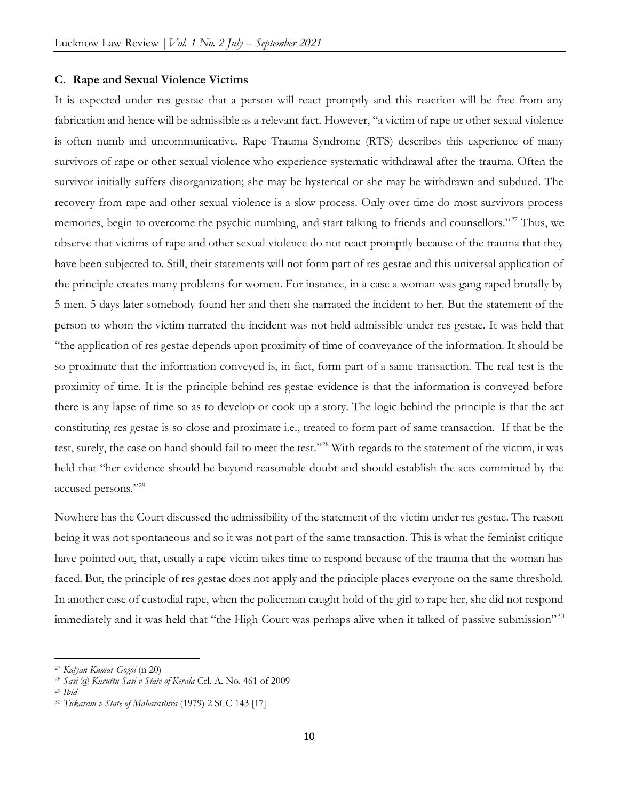#### C. Rape and Sexual Violence Victims

It is expected under res gestae that a person will react promptly and this reaction will be free from any fabrication and hence will be admissible as a relevant fact. However, "a victim of rape or other sexual violence is often numb and uncommunicative. Rape Trauma Syndrome (RTS) describes this experience of many survivors of rape or other sexual violence who experience systematic withdrawal after the trauma. Often the survivor initially suffers disorganization; she may be hysterical or she may be withdrawn and subdued. The recovery from rape and other sexual violence is a slow process. Only over time do most survivors process memories, begin to overcome the psychic numbing, and start talking to friends and counsellors."<sup>27</sup> Thus, we observe that victims of rape and other sexual violence do not react promptly because of the trauma that they have been subjected to. Still, their statements will not form part of res gestae and this universal application of the principle creates many problems for women. For instance, in a case a woman was gang raped brutally by 5 men. 5 days later somebody found her and then she narrated the incident to her. But the statement of the person to whom the victim narrated the incident was not held admissible under res gestae. It was held that "the application of res gestae depends upon proximity of time of conveyance of the information. It should be so proximate that the information conveyed is, in fact, form part of a same transaction. The real test is the proximity of time. It is the principle behind res gestae evidence is that the information is conveyed before there is any lapse of time so as to develop or cook up a story. The logic behind the principle is that the act constituting res gestae is so close and proximate i.e., treated to form part of same transaction. If that be the test, surely, the case on hand should fail to meet the test."<sup>28</sup> With regards to the statement of the victim, it was held that "her evidence should be beyond reasonable doubt and should establish the acts committed by the accused persons."<sup>29</sup>

Nowhere has the Court discussed the admissibility of the statement of the victim under res gestae. The reason being it was not spontaneous and so it was not part of the same transaction. This is what the feminist critique have pointed out, that, usually a rape victim takes time to respond because of the trauma that the woman has faced. But, the principle of res gestae does not apply and the principle places everyone on the same threshold. In another case of custodial rape, when the policeman caught hold of the girl to rape her, she did not respond immediately and it was held that "the High Court was perhaps alive when it talked of passive submission"<sup>30</sup>

<sup>27</sup> Kalyan Kumar Gogoi (n 20)

<sup>&</sup>lt;sup>28</sup> Sasi @ Kuruttu Sasi v State of Kerala Crl. A. No. 461 of 2009

 $29$  Ibid

<sup>30</sup> Tukaram v State of Maharashtra (1979) 2 SCC 143 [17]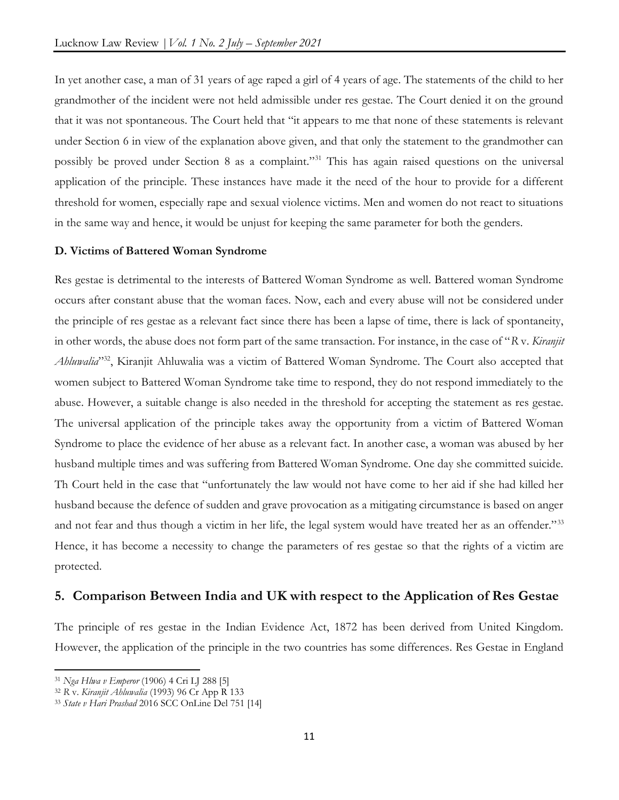In yet another case, a man of 31 years of age raped a girl of 4 years of age. The statements of the child to her grandmother of the incident were not held admissible under res gestae. The Court denied it on the ground that it was not spontaneous. The Court held that "it appears to me that none of these statements is relevant under Section 6 in view of the explanation above given, and that only the statement to the grandmother can possibly be proved under Section 8 as a complaint."<sup>31</sup> This has again raised questions on the universal application of the principle. These instances have made it the need of the hour to provide for a different threshold for women, especially rape and sexual violence victims. Men and women do not react to situations in the same way and hence, it would be unjust for keeping the same parameter for both the genders.

#### D. Victims of Battered Woman Syndrome

Res gestae is detrimental to the interests of Battered Woman Syndrome as well. Battered woman Syndrome occurs after constant abuse that the woman faces. Now, each and every abuse will not be considered under the principle of res gestae as a relevant fact since there has been a lapse of time, there is lack of spontaneity, in other words, the abuse does not form part of the same transaction. For instance, in the case of "R v. Kiranjit" Ahluwalia<sup>332</sup>, Kiranjit Ahluwalia was a victim of Battered Woman Syndrome. The Court also accepted that women subject to Battered Woman Syndrome take time to respond, they do not respond immediately to the abuse. However, a suitable change is also needed in the threshold for accepting the statement as res gestae. The universal application of the principle takes away the opportunity from a victim of Battered Woman Syndrome to place the evidence of her abuse as a relevant fact. In another case, a woman was abused by her husband multiple times and was suffering from Battered Woman Syndrome. One day she committed suicide. Th Court held in the case that "unfortunately the law would not have come to her aid if she had killed her husband because the defence of sudden and grave provocation as a mitigating circumstance is based on anger and not fear and thus though a victim in her life, the legal system would have treated her as an offender."<sup>33</sup> Hence, it has become a necessity to change the parameters of res gestae so that the rights of a victim are protected.

### 5. Comparison Between India and UK with respect to the Application of Res Gestae

The principle of res gestae in the Indian Evidence Act, 1872 has been derived from United Kingdom. However, the application of the principle in the two countries has some differences. Res Gestae in England

<sup>31</sup> Nga Hlwa v Emperor (1906) 4 Cri LJ 288 [5]

<sup>&</sup>lt;sup>32</sup> R v. Kiranjit Ahluwalia (1993) 96 Cr App R 133

<sup>33</sup> State v Hari Prashad 2016 SCC OnLine Del 751 [14]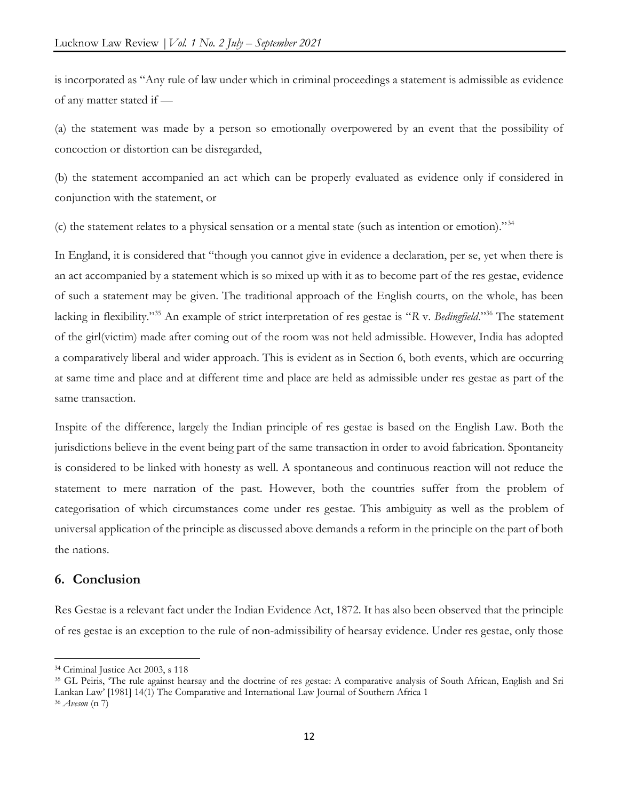is incorporated as "Any rule of law under which in criminal proceedings a statement is admissible as evidence of any matter stated if —

(a) the statement was made by a person so emotionally overpowered by an event that the possibility of concoction or distortion can be disregarded,

(b) the statement accompanied an act which can be properly evaluated as evidence only if considered in conjunction with the statement, or

(c) the statement relates to a physical sensation or a mental state (such as intention or emotion)."<sup>34</sup>

In England, it is considered that "though you cannot give in evidence a declaration, per se, yet when there is an act accompanied by a statement which is so mixed up with it as to become part of the res gestae, evidence of such a statement may be given. The traditional approach of the English courts, on the whole, has been lacking in flexibility."<sup>35</sup> An example of strict interpretation of res gestae is "R v. Bedingfield."<sup>36</sup> The statement of the girl(victim) made after coming out of the room was not held admissible. However, India has adopted a comparatively liberal and wider approach. This is evident as in Section 6, both events, which are occurring at same time and place and at different time and place are held as admissible under res gestae as part of the same transaction.

Inspite of the difference, largely the Indian principle of res gestae is based on the English Law. Both the jurisdictions believe in the event being part of the same transaction in order to avoid fabrication. Spontaneity is considered to be linked with honesty as well. A spontaneous and continuous reaction will not reduce the statement to mere narration of the past. However, both the countries suffer from the problem of categorisation of which circumstances come under res gestae. This ambiguity as well as the problem of universal application of the principle as discussed above demands a reform in the principle on the part of both the nations.

## 6. Conclusion

Res Gestae is a relevant fact under the Indian Evidence Act, 1872. It has also been observed that the principle of res gestae is an exception to the rule of non-admissibility of hearsay evidence. Under res gestae, only those

<sup>34</sup> Criminal Justice Act 2003, s 118

<sup>&</sup>lt;sup>35</sup> GL Peiris, 'The rule against hearsay and the doctrine of res gestae: A comparative analysis of South African, English and Sri Lankan Law' [1981] 14(1) The Comparative and International Law Journal of Southern Africa 1  $36$  Aveson (n 7)